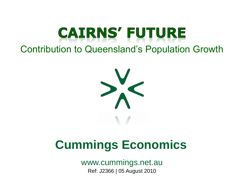# **CAIRNS' FUTURE**

Contribution to Queensland's Population Growth



# **Cummings Economics**

Ref: J2366 | 05 August 2010 www.cummings.net.au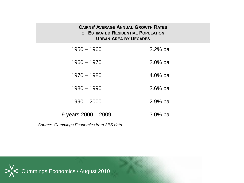| <b>CAIRNS' AVERAGE ANNUAL GROWTH RATES</b><br>OF ESTIMATED RESIDENTIAL POPULATION<br><b>URBAN AREA BY DECADES</b> |            |  |  |  |
|-------------------------------------------------------------------------------------------------------------------|------------|--|--|--|
| $1950 - 1960$                                                                                                     | $3.2%$ pa  |  |  |  |
| $1960 - 1970$                                                                                                     | $2.0\%$ pa |  |  |  |
| $1970 - 1980$                                                                                                     | $4.0\%$ pa |  |  |  |
| $1980 - 1990$                                                                                                     | $3.6%$ pa  |  |  |  |
| $1990 - 2000$                                                                                                     | $2.9%$ pa  |  |  |  |
| 9 years $2000 - 2009$                                                                                             | $3.0\%$ pa |  |  |  |

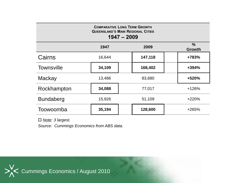| <b>COMPARATIVE LONG TERM GROWTH</b><br><b>QUEENSLAND'S MAIN REGIONAL CITIES</b><br>$1947 - 2009$ |        |         |         |                       |  |
|--------------------------------------------------------------------------------------------------|--------|---------|---------|-----------------------|--|
|                                                                                                  | 1947   |         | 2009    | $\%$<br><b>Growth</b> |  |
| Cairns                                                                                           | 16,644 |         | 147,118 | +783%                 |  |
| <b>Townsville</b>                                                                                | 34,109 | 168,402 |         | +394%                 |  |
| Mackay                                                                                           | 13,486 | 83,680  |         | +520%                 |  |
| Rockhampton                                                                                      | 34,088 | 77,017  |         | $+126%$               |  |
| <b>Bundaberg</b>                                                                                 | 15,926 | 51,109  |         | $+220%$               |  |
| Toowoomba                                                                                        | 35,194 |         | 128,600 | +265%                 |  |

*Note: 3 largest.*

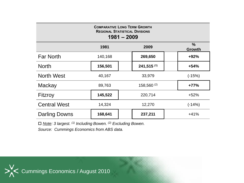| <b>COMPARATIVE LONG TERM GROWTH</b><br><b>REGIONAL STATISTICAL DIVISIONS</b><br>$1981 - 2009$ |         |                          |         |  |                                |
|-----------------------------------------------------------------------------------------------|---------|--------------------------|---------|--|--------------------------------|
|                                                                                               | 1981    |                          | 2009    |  | $\frac{0}{0}$<br><b>Growth</b> |
| <b>Far North</b>                                                                              | 140,168 |                          | 269,650 |  | $+92%$                         |
| <b>North</b>                                                                                  | 156,501 | $241,515$ <sup>(1)</sup> |         |  | $+54%$                         |
| <b>North West</b>                                                                             | 40,167  | 33,979                   |         |  | $(-15%)$                       |
| Mackay                                                                                        | 89,763  | $158,560^{(2)}$          |         |  | $+77%$                         |
| Fitzroy                                                                                       | 145,522 | 220,714                  |         |  | $+52%$                         |
| <b>Central West</b>                                                                           | 14,324  | 12,270                   |         |  | $(-14%)$                       |
| <b>Darling Downs</b>                                                                          | 168,641 |                          | 237,211 |  | $+41%$                         |

*Note: 3 largest. (1) Including Bowen. (2) Excluding Bowen.*

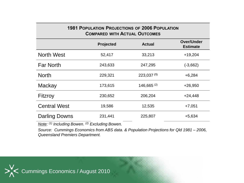| <b>1981 POPULATION PROJECTIONS OF 2006 POPULATION</b><br><b>COMPARED WITH ACTUAL OUTCOMES</b> |                  |                 |                                      |  |  |
|-----------------------------------------------------------------------------------------------|------------------|-----------------|--------------------------------------|--|--|
|                                                                                               | <b>Projected</b> | <b>Actual</b>   | <b>Over/Under</b><br><b>Estimate</b> |  |  |
| <b>North West</b>                                                                             | 52,417           | 33,213          | $+19,204$                            |  |  |
| <b>Far North</b>                                                                              | 243,633          | 247,295         | $(-3,662)$                           |  |  |
| <b>North</b>                                                                                  | 229,321          | $223,037$ (1)   | $+6,284$                             |  |  |
| Mackay                                                                                        | 173,615          | $146,665^{(2)}$ | $+26,950$                            |  |  |
| Fitzroy                                                                                       | 230,652          | 206,204         | $+24,448$                            |  |  |
| <b>Central West</b>                                                                           | 19,586           | 12,535          | $+7,051$                             |  |  |
| Darling Downs                                                                                 | 231,441          | 225,807         | $+5,634$                             |  |  |

*Note: (1) Including Bowen. (2) Excluding Bowen.*

*Source: Cummings Economics from ABS data. & Population Projections for Qld 1981 – 2006, Queensland Premiers Department.*

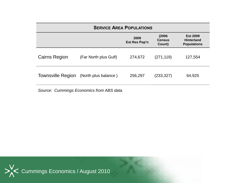| <b>SERVICE AREA POPULATIONS</b> |                       |                              |                                   |                                                            |  |
|---------------------------------|-----------------------|------------------------------|-----------------------------------|------------------------------------------------------------|--|
|                                 |                       | 2009<br><b>Est Res Pop'n</b> | (2006)<br><b>Census</b><br>Count) | <b>Est 2009</b><br><b>Hinterland</b><br><b>Populations</b> |  |
| <b>Cairns Region</b>            | (Far North plus Gulf) | 274,672                      | (271, 119)                        | 127,554                                                    |  |
| <b>Townsville Region</b>        | (North plus balance)  | 256,297                      | (233, 327)                        | 64,925                                                     |  |

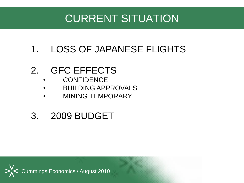## CURRENT SITUATION

#### 1. LOSS OF JAPANESE FLIGHTS

#### 2. GFC EFFECTS

- CONFIDENCE
- BUILDING APPROVALS
- MINING TEMPORARY

#### 3. 2009 BUDGET

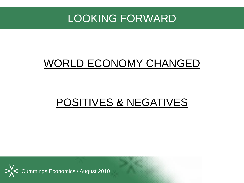#### LOOKING FORWARD

### WORLD ECONOMY CHANGED

### POSITIVES & NEGATIVES

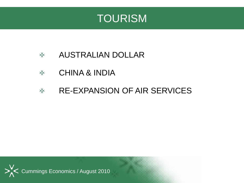

- AUSTRALIAN DOLLAR  $>^{\vee}_{\wedge}<$
- $>^{\vee}_{\wedge}<$ CHINA & INDIA
- RE-EXPANSION OF AIR SERVICES $>^{\vee}_{\wedge}<$

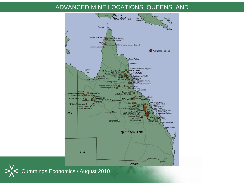#### ADVANCED MINE LOCATIONS, QUEENSLAND

![](_page_9_Figure_1.jpeg)

Cummings Economics / August 2010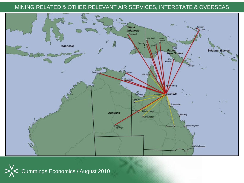#### MINING RELATED & OTHER RELEVANT AIR SERVICES, INTERSTATE & OVERSEAS

![](_page_10_Picture_1.jpeg)

![](_page_10_Picture_2.jpeg)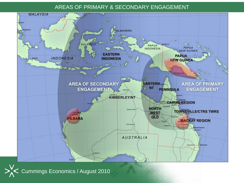#### AREAS OF PRIMARY & SECONDARY ENGAGEMENT

![](_page_11_Figure_1.jpeg)

![](_page_11_Picture_2.jpeg)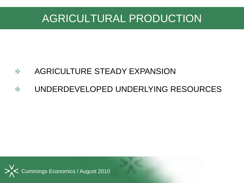### AGRICULTURAL PRODUCTION

#### AGRICULTURE STEADY EXPANSION  $>^V_{\Lambda}<$

#### UNDERDEVELOPED UNDERLYING RESOURCES $>^{\vee}_{\wedge}<$

![](_page_12_Picture_3.jpeg)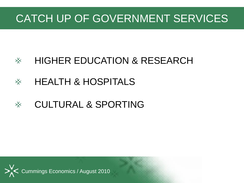### CATCH UP OF GOVERNMENT SERVICES

#### HIGHER EDUCATION & RESEARCH  $>^{\vee}_{\wedge}<$

#### HEALTH & HOSPITALS  $>^{\vee}_{\wedge}<$

#### CULTURAL & SPORTING $>^{\vee}_{\wedge}<$

![](_page_13_Picture_4.jpeg)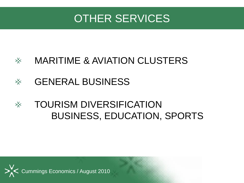### OTHER SERVICES

#### MARITIME & AVIATION CLUSTERS  $>^{\vee}_{\wedge}<$

#### GENERAL BUSINESS  $>^{\vee}_{\wedge}<$

#### TOURISM DIVERSIFICATION  $>^{\vee}_{\wedge}<$ BUSINESS, EDUCATION, SPORTS

![](_page_14_Picture_4.jpeg)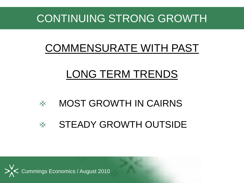### CONTINUING STRONG GROWTH

## COMMENSURATE WITH PAST

## LONG TERM TRENDS

- MOST GROWTH IN CAIRNS  $>^{\vee}_{\wedge}<$
- STEADY GROWTH OUTSIDE  $>^{\vee}_{\wedge}<$

![](_page_15_Picture_5.jpeg)